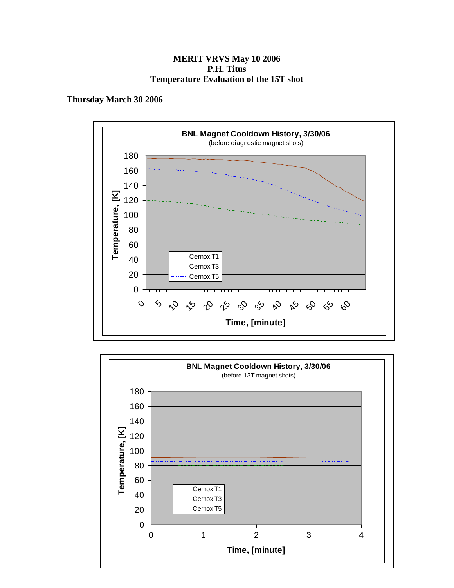#### **MERIT VRVS May 10 2006 P.H. Titus Temperature Evaluation of the 15T shot**

#### **Thursday March 30 2006**



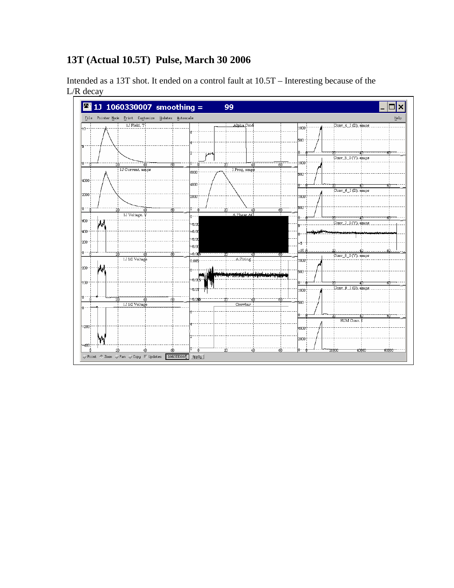# **13T (Actual 10.5T) Pulse, March 30 2006**

Intended as a 13T shot. It ended on a control fault at 10.5T – Interesting because of the L/R decay

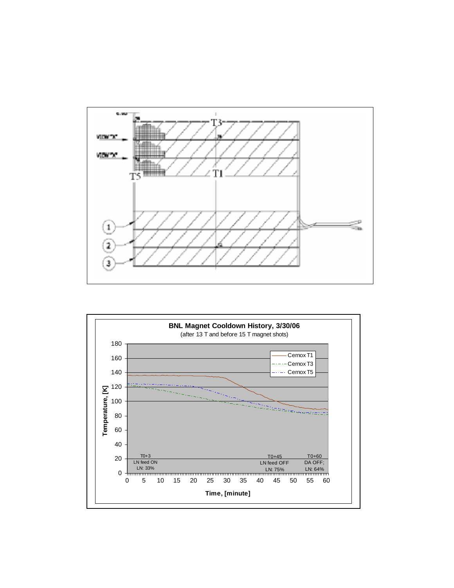

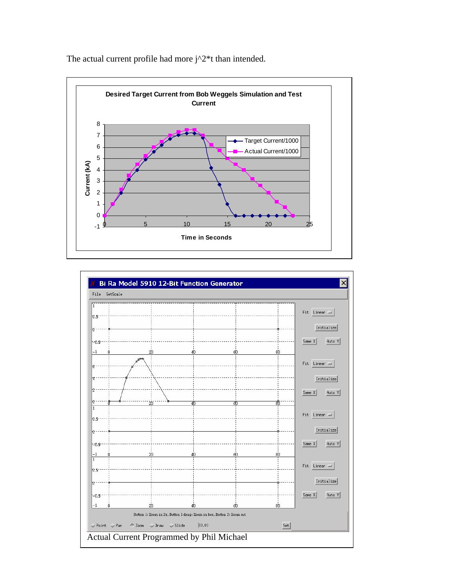

The actual current profile had more  $j^2*t$  than intended.

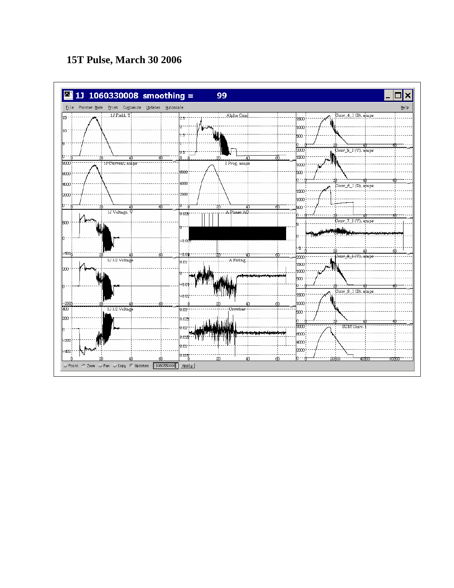# **15T Pulse, March 30 2006**

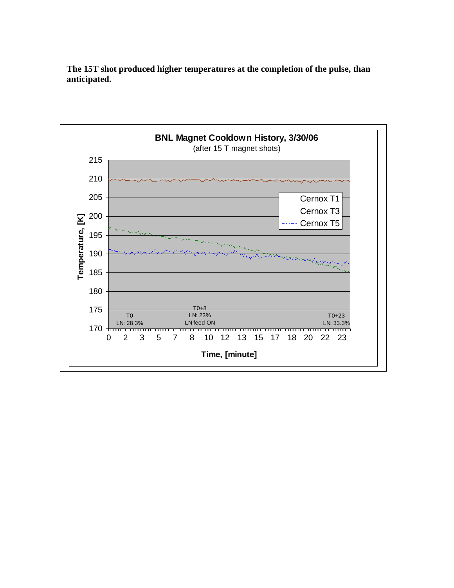**The 15T shot produced higher temperatures at the completion of the pulse, than anticipated.** 

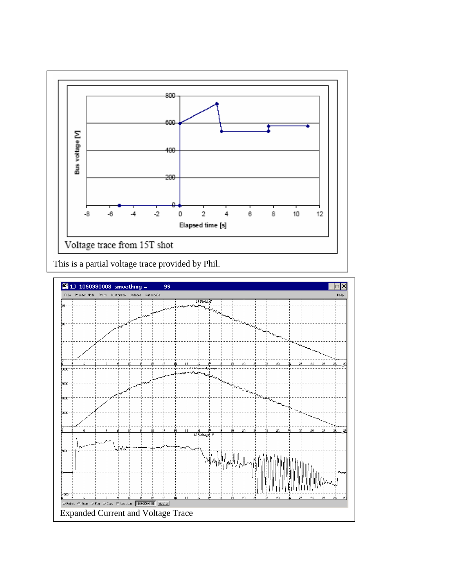

This is a partial voltage trace provided by Phil.

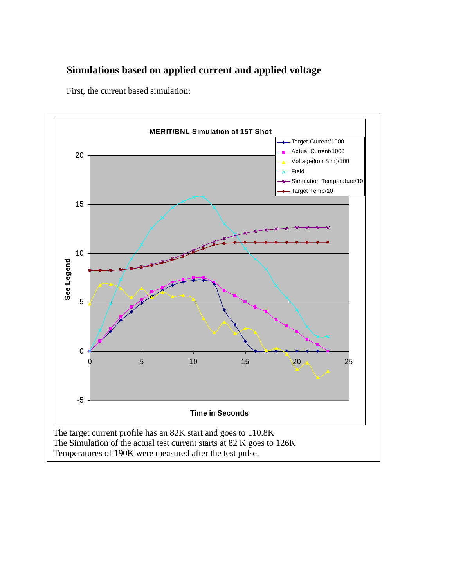### **Simulations based on applied current and applied voltage**

First, the current based simulation:

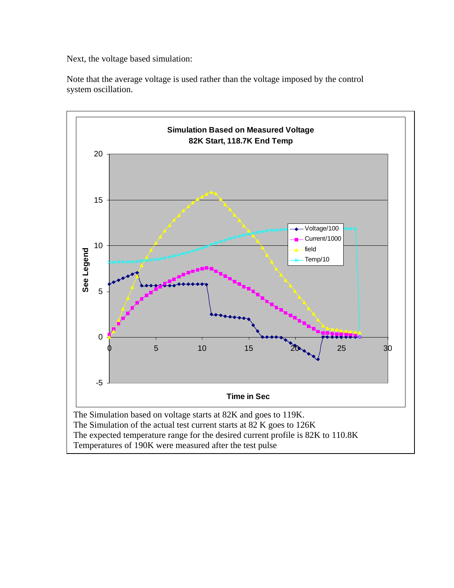Next, the voltage based simulation:

Note that the average voltage is used rather than the voltage imposed by the control system oscillation.



Temperatures of 190K were measured after the test pulse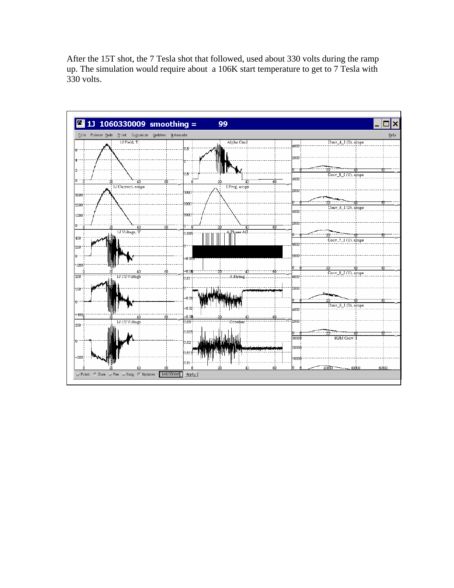After the 15T shot, the 7 Tesla shot that followed, used about 330 volts during the ramp up. The simulation would require about a 106K start temperature to get to 7 Tesla with 330 volts.